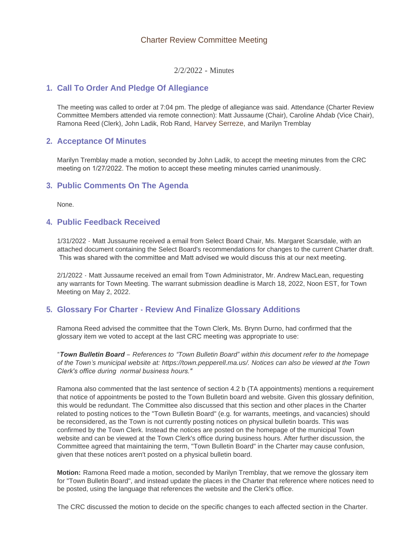### Charter Review Committee Meeting

2/2/2022 - Minutes

### **Call To Order And Pledge Of Allegiance 1.**

The meeting was called to order at 7:04 pm. The pledge of allegiance was said. Attendance (Charter Review Committee Members attended via remote connection): Matt Jussaume (Chair), Caroline Ahdab (Vice Chair), Ramona Reed (Clerk), John Ladik, Rob Rand, Harvey Serreze, and Marilyn Tremblay

## **Acceptance Of Minutes 2.**

Marilyn Tremblay made a motion, seconded by John Ladik, to accept the meeting minutes from the CRC meeting on 1/27/2022. The motion to accept these meeting minutes carried unanimously.

### **Public Comments On The Agenda 3.**

None.

### **Public Feedback Received 4.**

1/31/2022 - Matt Jussaume received a email from Select Board Chair, Ms. Margaret Scarsdale, with an attached document containing the Select Board's recommendations for changes to the current Charter draft. This was shared with the committee and Matt advised we would discuss this at our next meeting.

2/1/2022 - Matt Jussaume received an email from Town Administrator, Mr. Andrew MacLean, requesting any warrants for Town Meeting. The warrant submission deadline is March 18, 2022, Noon EST, for Town Meeting on May 2, 2022.

# **Glossary For Charter - Review And Finalize Glossary Additions 5.**

Ramona Reed advised the committee that the Town Clerk, Ms. Brynn Durno, had confirmed that the glossary item we voted to accept at the last CRC meeting was appropriate to use:

*"Town Bulletin Board – References to "Town Bulletin Board" within this document refer to the homepage of the Town's municipal website at: https://town.pepperell.ma.us/. Notices can also be viewed at the Town Clerk's office during normal business hours."*

Ramona also commented that the last sentence of section 4.2 b (TA appointments) mentions a requirement that notice of appointments be posted to the Town Bulletin board and website. Given this glossary definition, this would be redundant. The Committee also discussed that this section and other places in the Charter related to posting notices to the "Town Bulletin Board" (e.g. for warrants, meetings, and vacancies) should be reconsidered, as the Town is not currently posting notices on physical bulletin boards. This was confirmed by the Town Clerk. Instead the notices are posted on the homepage of the municipal Town website and can be viewed at the Town Clerk's office during business hours. After further discussion, the Committee agreed that maintaining the term, "Town Bulletin Board" in the Charter may cause confusion, given that these notices aren't posted on a physical bulletin board.

**Motion:** Ramona Reed made a motion, seconded by Marilyn Tremblay, that we remove the glossary item for "Town Bulletin Board", and instead update the places in the Charter that reference where notices need to be posted, using the language that references the website and the Clerk's office.

The CRC discussed the motion to decide on the specific changes to each affected section in the Charter.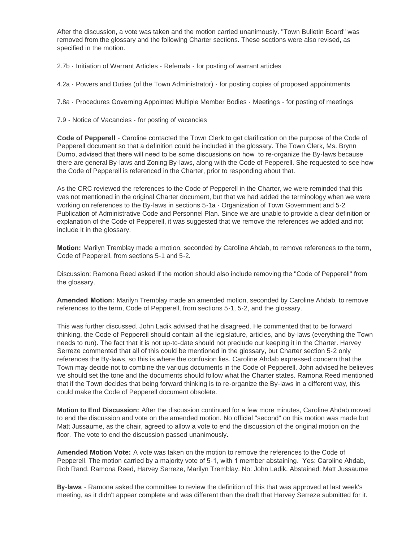After the discussion, a vote was taken and the motion carried unanimously. "Town Bulletin Board" was removed from the glossary and the following Charter sections. These sections were also revised, as specified in the motion.

2.7b - Initiation of Warrant Articles - Referrals - for posting of warrant articles

4.2a - Powers and Duties (of the Town Administrator) - for posting copies of proposed appointments

7.8a - Procedures Governing Appointed Multiple Member Bodies - Meetings - for posting of meetings

7.9 - Notice of Vacancies - for posting of vacancies

**Code of Pepperell** - Caroline contacted the Town Clerk to get clarification on the purpose of the Code of Pepperell document so that a definition could be included in the glossary. The Town Clerk, Ms. Brynn Durno, advised that there will need to be some discussions on how to re-organize the By-laws because there are general By-laws and Zoning By-laws, along with the Code of Pepperell. She requested to see how the Code of Pepperell is referenced in the Charter, prior to responding about that.

As the CRC reviewed the references to the Code of Pepperell in the Charter, we were reminded that this was not mentioned in the original Charter document, but that we had added the terminology when we were working on references to the By-laws in sections 5-1a - Organization of Town Government and 5-2 Publication of Administrative Code and Personnel Plan. Since we are unable to provide a clear definition or explanation of the Code of Pepperell, it was suggested that we remove the references we added and not include it in the glossary.

**Motion:** Marilyn Tremblay made a motion, seconded by Caroline Ahdab, to remove references to the term, Code of Pepperell, from sections 5-1 and 5-2.

Discussion: Ramona Reed asked if the motion should also include removing the "Code of Pepperell" from the glossary.

**Amended Motion:** Marilyn Tremblay made an amended motion, seconded by Caroline Ahdab, to remove references to the term, Code of Pepperell, from sections 5-1, 5-2, and the glossary.

This was further discussed. John Ladik advised that he disagreed. He commented that to be forward thinking, the Code of Pepperell should contain all the legislature, articles, and by-laws (everything the Town needs to run). The fact that it is not up-to-date should not preclude our keeping it in the Charter. Harvey Serreze commented that all of this could be mentioned in the glossary, but Charter section 5-2 only references the By-laws, so this is where the confusion lies. Caroline Ahdab expressed concern that the Town may decide not to combine the various documents in the Code of Pepperell. John advised he believes we should set the tone and the documents should follow what the Charter states. Ramona Reed mentioned that if the Town decides that being forward thinking is to re-organize the By-laws in a different way, this could make the Code of Pepperell document obsolete.

**Motion to End Discussion:** After the discussion continued for a few more minutes, Caroline Ahdab moved to end the discussion and vote on the amended motion. No official "second" on this motion was made but Matt Jussaume, as the chair, agreed to allow a vote to end the discussion of the original motion on the floor. The vote to end the discussion passed unanimously.

**Amended Motion Vote:** A vote was taken on the motion to remove the references to the Code of Pepperell. The motion carried by a majority vote of 5-1, with 1 member abstaining. Yes: Caroline Ahdab, Rob Rand, Ramona Reed, Harvey Serreze, Marilyn Tremblay. No: John Ladik, Abstained: Matt Jussaume

**By-laws** - Ramona asked the committee to review the definition of this that was approved at last week's meeting, as it didn't appear complete and was different than the draft that Harvey Serreze submitted for it.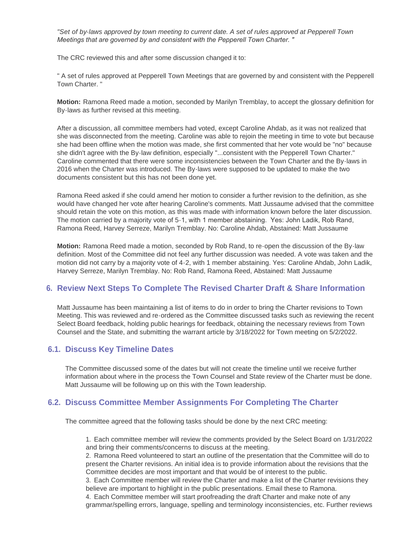*"Set of by-laws approved by town meeting to current date. A set of rules approved at Pepperell Town Meetings that are governed by and consistent with the Pepperell Town Charter. "* 

The CRC reviewed this and after some discussion changed it to:

" A set of rules approved at Pepperell Town Meetings that are governed by and consistent with the Pepperell Town Charter."

**Motion:** Ramona Reed made a motion, seconded by Marilyn Tremblay, to accept the glossary definition for By-laws as further revised at this meeting.

After a discussion, all committee members had voted, except Caroline Ahdab, as it was not realized that she was disconnected from the meeting. Caroline was able to rejoin the meeting in time to vote but because she had been offline when the motion was made, she first commented that her vote would be "no" because she didn't agree with the By-law definition, especially "...consistent with the Pepperell Town Charter." Caroline commented that there were some inconsistencies between the Town Charter and the By-laws in 2016 when the Charter was introduced. The By-laws were supposed to be updated to make the two documents consistent but this has not been done yet.

Ramona Reed asked if she could amend her motion to consider a further revision to the definition, as she would have changed her vote after hearing Caroline's comments. Matt Jussaume advised that the committee should retain the vote on this motion, as this was made with information known before the later discussion. The motion carried by a majority vote of 5-1, with 1 member abstaining. Yes: John Ladik, Rob Rand, Ramona Reed, Harvey Serreze, Marilyn Tremblay. No: Caroline Ahdab, Abstained: Matt Jussaume

**Motion:** Ramona Reed made a motion, seconded by Rob Rand, to re-open the discussion of the By-law definition. Most of the Committee did not feel any further discussion was needed. A vote was taken and the motion did not carry by a majority vote of 4-2, with 1 member abstaining. Yes: Caroline Ahdab, John Ladik, Harvey Serreze, Marilyn Tremblay. No: Rob Rand, Ramona Reed, Abstained: Matt Jussaume

# **Review Next Steps To Complete The Revised Charter Draft & Share Information 6.**

Matt Jussaume has been maintaining a list of items to do in order to bring the Charter revisions to Town Meeting. This was reviewed and re-ordered as the Committee discussed tasks such as reviewing the recent Select Board feedback, holding public hearings for feedback, obtaining the necessary reviews from Town Counsel and the State, and submitting the warrant article by 3/18/2022 for Town meeting on 5/2/2022.

### **Discuss Key Timeline Dates 6.1.**

The Committee discussed some of the dates but will not create the timeline until we receive further information about where in the process the Town Counsel and State review of the Charter must be done. Matt Jussaume will be following up on this with the Town leadership.

# **Discuss Committee Member Assignments For Completing The Charter 6.2.**

The committee agreed that the following tasks should be done by the next CRC meeting:

1. Each committee member will review the comments provided by the Select Board on 1/31/2022 and bring their comments/concerns to discuss at the meeting.

2. Ramona Reed volunteered to start an outline of the presentation that the Committee will do to present the Charter revisions. An initial idea is to provide information about the revisions that the Committee decides are most important and that would be of interest to the public.

3. Each Committee member will review the Charter and make a list of the Charter revisions they believe are important to highlight in the public presentations. Email these to Ramona.

4. Each Committee member will start proofreading the draft Charter and make note of any grammar/spelling errors, language, spelling and terminology inconsistencies, etc. Further reviews